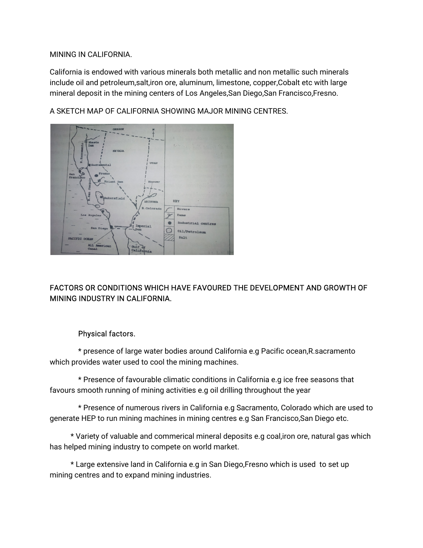#### MINING IN CALIFORNIA.

California is endowed with various minerals both metallic and non metallic such minerals include oil and petroleum,salt,iron ore, aluminum, limestone, copper,Cobalt etc with large mineral deposit in the mining centers of Los Angeles,San Diego,San Francisco,Fresno.

A SKETCH MAP OF CALIFORNIA SHOWING MAJOR MINING CENTRES.



# FACTORS OR CONDITIONS WHICH HAVE FAVOURED THE DEVELOPMENT AND GROWTH OF MINING INDUSTRY IN CALIFORNIA.

### Physical factors.

\* presence of large water bodies around California e.g Pacific ocean, R. sacramento which provides water used to cool the mining machines.

\* Presence of favourable climatic conditions in California e.g ice free seasons that favours smooth running of mining activities e.g oil drilling throughout the year

\* Presence of numerous rivers in California e.g Sacramento, Colorado which are used to generate HEP to run mining machines in mining centres e.g San Francisco,San Diego etc.

\*Varietyofvaluableandcommericalmineraldepositse.gcoal,ironore,naturalgaswhich has helped mining industry to compete on world market.

\* Large extensive land in California e.g in San Diego, Fresno which is used to set up mining centres and to expand mining industries.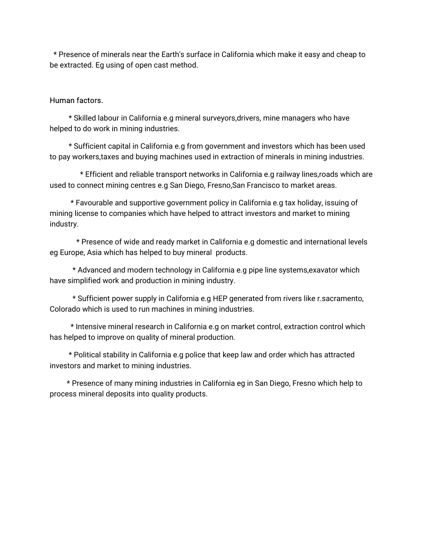\* Presence of minerals near the Earth's surface in California which make it easy and cheap to be extracted. Eg using of open cast method.

#### Human factors.

\* Skilled labour in California e.g mineral surveyors,drivers, mine managers who have helped to do work in mining industries.

\* Sufficient capital in California e.g from government and investors which has been used to pay workers, taxes and buying machines used in extraction of minerals in mining industries.

\* Efficient and reliable transport networks in California e.g railway lines, roads which are used to connect mining centres e.g San Diego, Fresno,San Francisco to market areas.

\* Favourable and supportive government policy in California e.g tax holiday, issuing of mining license to companies which have helped to attract investors and market to mining industry.

\* Presence of wide and ready market in California e.g domestic and international levels eg Europe, Asia which has helped to buy mineral products.

\* Advanced and modern technology in California e.g pipe line systems, exavator which have simplified work and production in mining industry.

\* Sufficient power supply in California e.g HEP generated from rivers like r.sacramento, Colorado which is used to run machines in mining industries.

\* Intensive mineral research in California e.g on market control, extraction control which has helped to improve on quality of mineral production.

\* Political stability in California e.g police that keep law and order which has attracted investors and market to mining industries.

\* Presence of many mining industries in California eg in San Diego, Fresno which help to process mineral deposits into quality products.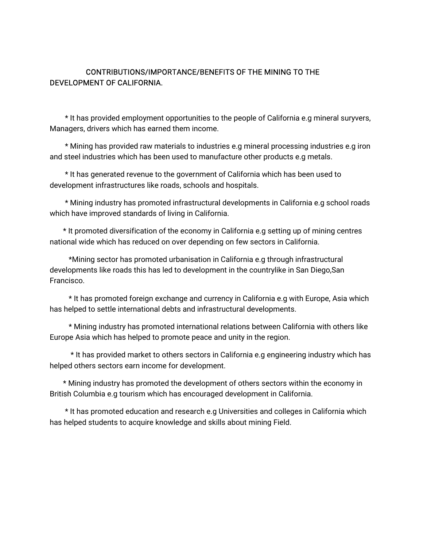### CONTRIBUTIONS/IMPORTANCE/BENEFITS OF THE MINING TO THE DEVELOPMENT OF CALIFORNIA.

\* It has provided employment opportunities to the people of California e.g mineral suryvers, Managers, drivers which has earned them income.

\* Mining has provided raw materials to industries e.g mineral processing industries e.g iron and steel industries which has been used to manufacture other products e.g metals.

\* It has generated revenue to the government of California which has been used to development infrastructures like roads, schools and hospitals.

\* Mining industry has promoted infrastructural developments in California e.g school roads which have improved standards of living in California.

\* It promoted diversification of the economy in California e.g setting up of mining centres national wide which has reduced on over depending on few sectors in California.

\*Mining sector has promoted urbanisation in California e.g through infrastructural developments like roads this has led to development in the countrylike in San Diego,San Francisco.

\* It has promoted foreign exchange and currency in California e.g with Europe, Asia which has helped to settle international debts and infrastructural developments.

\* Mining industry has promoted international relations between California with others like Europe Asia which has helped to promote peace and unity in the region.

\* It has provided market to others sectors in California e.g engineering industry which has helped others sectors earn income for development.

\* Mining industry has promoted the development of others sectors within the economy in British Columbia e.g tourism which has encouraged development in California.

\*Ithaspromotededucationandresearche.gUniversitiesandcollegesinCaliforniawhich has helped students to acquire knowledge and skills about mining Field.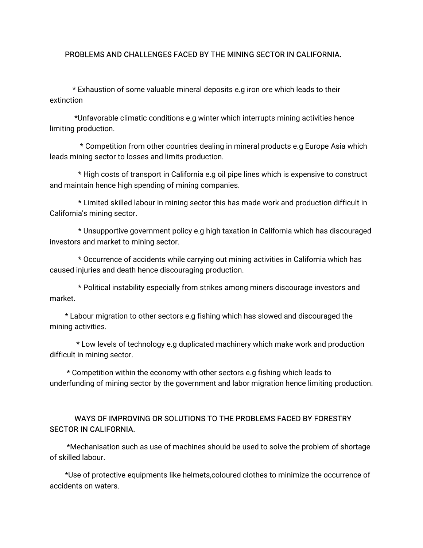#### PROBLEMS AND CHALLENGES FACED BY THE MINING SECTOR IN CALIFORNIA.

\*Exhaustionofsomevaluablemineraldepositse.gironorewhichleadstotheir extinction

\*Unfavorable climatic conditions e.g winter which interrupts mining activities hence limiting production.

\* Competition from other countries dealing in mineral products e.g Europe Asia which leads mining sector to losses and limits production.

\* High costs of transport in California e.g oil pipe lines which is expensive to construct and maintain hence high spending of mining companies.

\* Limited skilled labour in mining sector this has made work and production difficult in California's mining sector.

\*Unsupportivegovernmentpolicye.ghightaxationinCaliforniawhichhasdiscouraged investors and market to mining sector.

\* Occurrence of accidents while carrying out mining activities in California which has caused injuries and death hence discouraging production.

\* Political instability especially from strikes among miners discourage investors and market.

\* Labour migration to other sectors e.g fishing which has slowed and discouraged the mining activities.

\* Low levels of technology e.g duplicated machinery which make work and production difficult in mining sector.

\* Competition within the economy with other sectors e.g fishing which leads to underfunding of mining sector by the government and labor migration hence limiting production.

### WAYS OF IMPROVING OR SOLUTIONS TO THE PROBLEMS FACED BY FORESTRY SECTOR IN CALIFORNIA.

\*Mechanisation such as use of machines should be used to solve the problem of shortage of skilled labour.

\*Use of protective equipments like helmets,coloured clothes to minimize the occurrence of accidents on waters.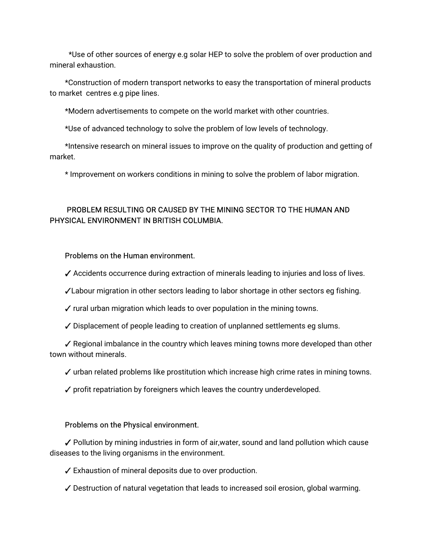\*Use of other sources of energy e.g solar HEP to solve the problem of over production and mineral exhaustion.

\*Construction of modern transport networks to easy the transportation of mineral products to market centres e.g pipe lines.

\*Modern advertisements to compete on the world market with other countries.

\*Use of advanced technology to solve the problem of low levels of technology.

\*Intensive research on mineral issues to improve on the quality of production and getting of market.

\* Improvement on workers conditions in mining to solve the problem of labor migration.

## PROBLEM RESULTING OR CAUSED BY THE MINING SECTOR TO THE HUMAN AND PHYSICAL ENVIRONMENT IN BRITISH COLUMBIA.

### Problems on the Human environment.

 $\checkmark$  Accidents occurrence during extraction of minerals leading to injuries and loss of lives.

✓Labour migration in other sectors leading to labor shortage in other sectors eg fishing.

 $\checkmark$  rural urban migration which leads to over population in the mining towns.

✓ Displacement of people leading to creation of unplanned settlements eg slums.

 $\checkmark$  Regional imbalance in the country which leaves mining towns more developed than other town without minerals.

- $\checkmark$  urban related problems like prostitution which increase high crime rates in mining towns.
- $\checkmark$  profit repatriation by foreigners which leaves the country underdeveloped.

#### Problems on the Physical environment.

✔ Pollution by mining industries in form of air,water, sound and land pollution which cause diseases to the living organisms in the environment.

 $\angle$  Exhaustion of mineral deposits due to over production.

 $\checkmark$  Destruction of natural vegetation that leads to increased soil erosion, global warming.